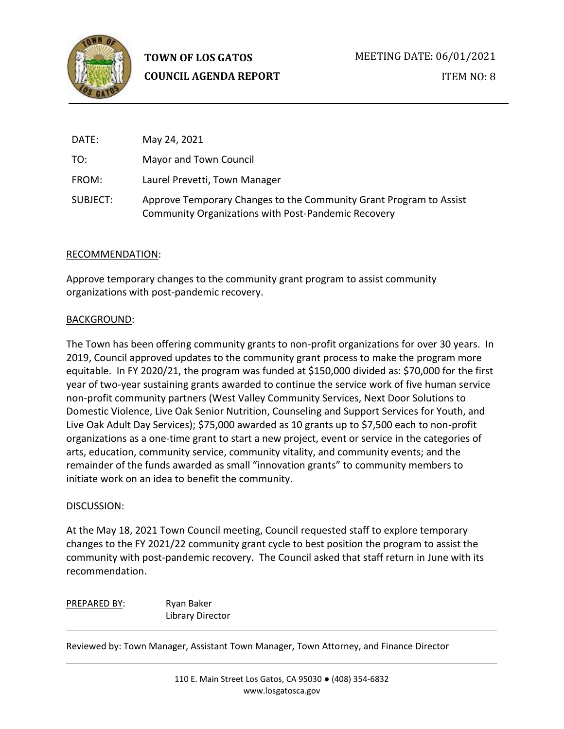

**TOWN OF LOS GATOS COUNCIL AGENDA REPORT** MEETING DATE: 06/01/2021 ITEM NO: 8

| DATE:    | May 24, 2021                                                                                                              |
|----------|---------------------------------------------------------------------------------------------------------------------------|
| TO:      | Mayor and Town Council                                                                                                    |
| FROM:    | Laurel Prevetti, Town Manager                                                                                             |
| SUBJECT: | Approve Temporary Changes to the Community Grant Program to Assist<br>Community Organizations with Post-Pandemic Recovery |

### RECOMMENDATION:

Approve temporary changes to the community grant program to assist community organizations with post-pandemic recovery.

### BACKGROUND:

The Town has been offering community grants to non-profit organizations for over 30 years. In 2019, Council approved updates to the community grant process to make the program more equitable. In FY 2020/21, the program was funded at \$150,000 divided as: \$70,000 for the first year of two-year sustaining grants awarded to continue the service work of five human service non-profit community partners (West Valley Community Services, Next Door Solutions to Domestic Violence, Live Oak Senior Nutrition, Counseling and Support Services for Youth, and Live Oak Adult Day Services); \$75,000 awarded as 10 grants up to \$7,500 each to non-profit organizations as a one-time grant to start a new project, event or service in the categories of arts, education, community service, community vitality, and community events; and the remainder of the funds awarded as small "innovation grants" to community members to initiate work on an idea to benefit the community.

# DISCUSSION:

At the May 18, 2021 Town Council meeting, Council requested staff to explore temporary changes to the FY 2021/22 community grant cycle to best position the program to assist the community with post-pandemic recovery. The Council asked that staff return in June with its recommendation.

PREPARED BY: Ryan Baker Library Director

Reviewed by: Town Manager, Assistant Town Manager, Town Attorney, and Finance Director